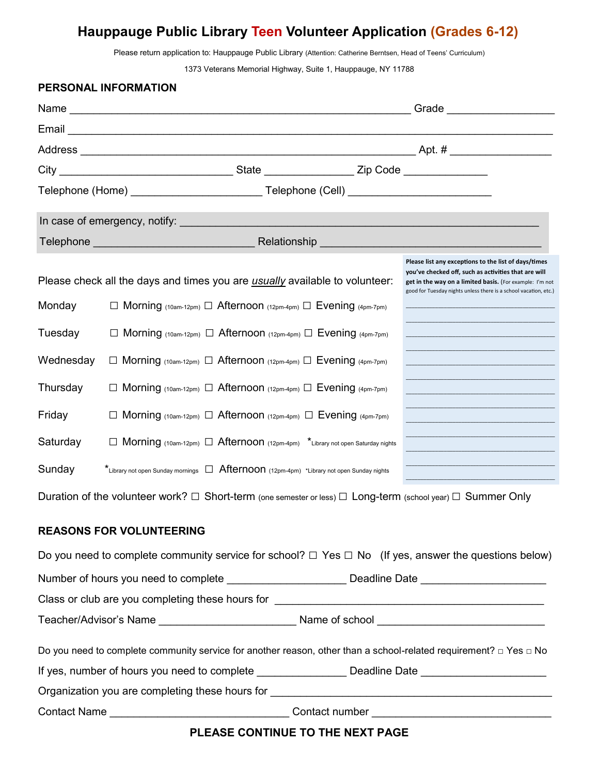## **Hauppauge Public Library Teen Volunteer Application (Grades 6-12)**

Please return application to: Hauppauge Public Library (Attention: Catherine Berntsen, Head of Teens' Curriculum)

1373 Veterans Memorial Highway, Suite 1, Hauppauge, NY 11788

|              | PERSONAL INFORMATION            |                                                                                                                                                                |  |                                                                                                                                                                                                                                              |
|--------------|---------------------------------|----------------------------------------------------------------------------------------------------------------------------------------------------------------|--|----------------------------------------------------------------------------------------------------------------------------------------------------------------------------------------------------------------------------------------------|
|              |                                 |                                                                                                                                                                |  |                                                                                                                                                                                                                                              |
|              |                                 |                                                                                                                                                                |  |                                                                                                                                                                                                                                              |
|              |                                 |                                                                                                                                                                |  |                                                                                                                                                                                                                                              |
|              |                                 |                                                                                                                                                                |  |                                                                                                                                                                                                                                              |
|              |                                 |                                                                                                                                                                |  |                                                                                                                                                                                                                                              |
|              |                                 |                                                                                                                                                                |  |                                                                                                                                                                                                                                              |
|              |                                 |                                                                                                                                                                |  |                                                                                                                                                                                                                                              |
| Monday       |                                 | Please check all the days and times you are usually available to volunteer:<br>$\Box$ Morning (10am-12pm) $\Box$ Afternoon (12pm-4pm) $\Box$ Evening (4pm-7pm) |  | Please list any exceptions to the list of days/times<br>you've checked off, such as activities that are will<br>get in the way on a limited basis. (For example: I'm not<br>good for Tuesday nights unless there is a school vacation, etc.) |
|              |                                 |                                                                                                                                                                |  |                                                                                                                                                                                                                                              |
| Tuesday      |                                 | $\Box$ Morning (10am-12pm) $\Box$ Afternoon (12pm-4pm) $\Box$ Evening (4pm-7pm)                                                                                |  |                                                                                                                                                                                                                                              |
| Wednesday    |                                 | $\Box$ Morning (10am-12pm) $\Box$ Afternoon (12pm-4pm) $\Box$ Evening (4pm-7pm)                                                                                |  |                                                                                                                                                                                                                                              |
| Thursday     |                                 | $\Box$ Morning (10am-12pm) $\Box$ Afternoon (12pm-4pm) $\Box$ Evening (4pm-7pm)                                                                                |  |                                                                                                                                                                                                                                              |
| Friday       |                                 | $\Box$ Morning (10am-12pm) $\Box$ Afternoon (12pm-4pm) $\Box$ Evening (4pm-7pm)                                                                                |  |                                                                                                                                                                                                                                              |
| Saturday     |                                 | Morning (10am-12pm) $\Box$ Afternoon (12pm-4pm) *Library not open Saturday nights                                                                              |  |                                                                                                                                                                                                                                              |
| Sunday       |                                 | $\star$ Library not open Sunday mornings $\Box$ Afternoon (12pm-4pm) *Library not open Sunday nights                                                           |  |                                                                                                                                                                                                                                              |
|              |                                 |                                                                                                                                                                |  | Duration of the volunteer work? $\Box$ Short-term (one semester or less) $\Box$ Long-term (school year) $\Box$ Summer Only                                                                                                                   |
|              | <b>REASONS FOR VOLUNTEERING</b> |                                                                                                                                                                |  |                                                                                                                                                                                                                                              |
|              |                                 |                                                                                                                                                                |  | Do you need to complete community service for school? $\Box$ Yes $\Box$ No (If yes, answer the questions below)                                                                                                                              |
|              |                                 |                                                                                                                                                                |  |                                                                                                                                                                                                                                              |
|              |                                 |                                                                                                                                                                |  |                                                                                                                                                                                                                                              |
|              |                                 |                                                                                                                                                                |  |                                                                                                                                                                                                                                              |
|              |                                 |                                                                                                                                                                |  | Do you need to complete community service for another reason, other than a school-related requirement? $\Box$ Yes $\Box$ No                                                                                                                  |
|              |                                 |                                                                                                                                                                |  | If yes, number of hours you need to complete _________________________ Deadline Date ________________________                                                                                                                                |
|              |                                 |                                                                                                                                                                |  |                                                                                                                                                                                                                                              |
| Contact Name |                                 | <u> 1989 - Johann Barbara, martin da kasas a shekara 1980 - 1981 - 1982 - 1983 - 1984 - 1984 - 1984 - 1984 - 198</u>                                           |  | Contact number experience and the contact number                                                                                                                                                                                             |

**PLEASE CONTINUE TO THE NEXT PAGE**